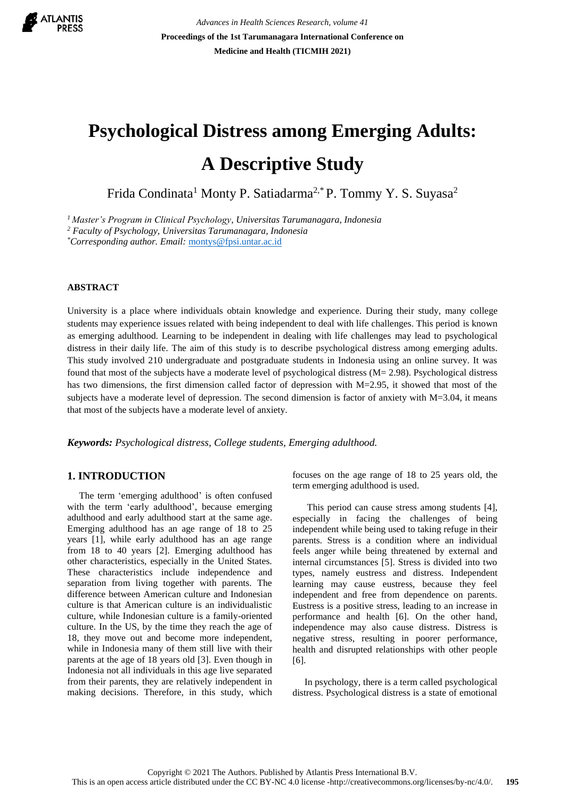

*Advances in Health Sciences Research, volume 41* **Proceedings of the 1st Tarumanagara International Conference on Medicine and Health (TICMIH 2021)**

# **Psychological Distress among Emerging Adults: A Descriptive Study**

Frida Condinata<sup>1</sup> Monty P. Satiadarma<sup>2,\*</sup> P. Tommy Y. S. Suyasa<sup>2</sup>

*<sup>1</sup>Master's Program in Clinical Psychology, Universitas Tarumanagara, Indonesia* 

*<sup>2</sup> Faculty of Psychology, Universitas Tarumanagara, Indonesia* 

*\*Corresponding author. Email:* [montys@fpsi.untar.ac.id](mailto:montys@fpsi.untar.ac.id)

#### **ABSTRACT**

University is a place where individuals obtain knowledge and experience. During their study, many college students may experience issues related with being independent to deal with life challenges. This period is known as emerging adulthood. Learning to be independent in dealing with life challenges may lead to psychological distress in their daily life. The aim of this study is to describe psychological distress among emerging adults. This study involved 210 undergraduate and postgraduate students in Indonesia using an online survey. It was found that most of the subjects have a moderate level of psychological distress (M= 2.98). Psychological distress has two dimensions, the first dimension called factor of depression with M=2.95, it showed that most of the subjects have a moderate level of depression. The second dimension is factor of anxiety with  $M=3.04$ , it means that most of the subjects have a moderate level of anxiety.

*Keywords: Psychological distress, College students, Emerging adulthood.*

## **1. INTRODUCTION**

 The term 'emerging adulthood' is often confused with the term 'early adulthood', because emerging adulthood and early adulthood start at the same age. Emerging adulthood has an age range of 18 to 25 years [1], while early adulthood has an age range from 18 to 40 years [2]. Emerging adulthood has other characteristics, especially in the United States. These characteristics include independence and separation from living together with parents. The difference between American culture and Indonesian culture is that American culture is an individualistic culture, while Indonesian culture is a family-oriented culture. In the US, by the time they reach the age of 18, they move out and become more independent, while in Indonesia many of them still live with their parents at the age of 18 years old [3]. Even though in Indonesia not all individuals in this age live separated from their parents, they are relatively independent in making decisions. Therefore, in this study, which focuses on the age range of 18 to 25 years old, the term emerging adulthood is used.

 This period can cause stress among students [4], especially in facing the challenges of being independent while being used to taking refuge in their parents. Stress is a condition where an individual feels anger while being threatened by external and internal circumstances [5]. Stress is divided into two types, namely eustress and distress. Independent learning may cause eustress, because they feel independent and free from dependence on parents. Eustress is a positive stress, leading to an increase in performance and health [6]. On the other hand, independence may also cause distress. Distress is negative stress, resulting in poorer performance, health and disrupted relationships with other people [6].

 In psychology, there is a term called psychological distress. Psychological distress is a state of emotional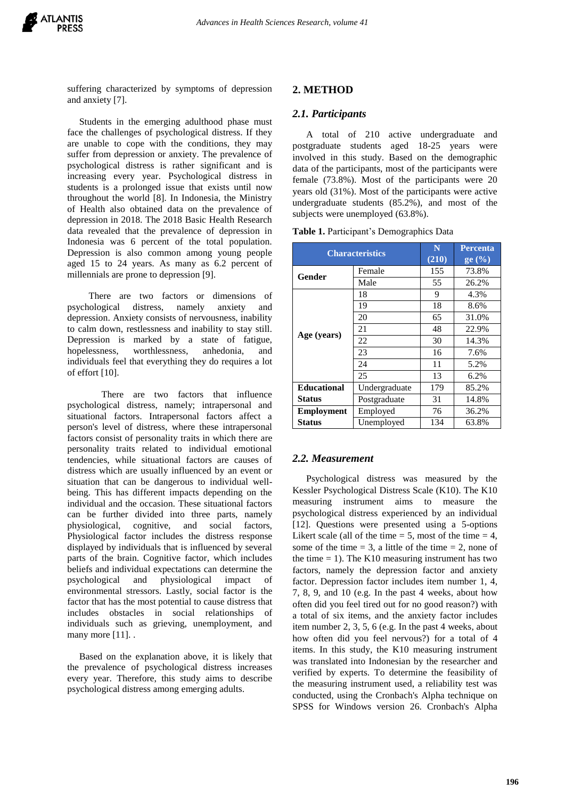suffering characterized by symptoms of depression and anxiety [7].

 Students in the emerging adulthood phase must face the challenges of psychological distress. If they are unable to cope with the conditions, they may suffer from depression or anxiety. The prevalence of psychological distress is rather significant and is increasing every year. Psychological distress in students is a prolonged issue that exists until now throughout the world [8]. In Indonesia, the Ministry of Health also obtained data on the prevalence of depression in 2018. The 2018 Basic Health Research data revealed that the prevalence of depression in Indonesia was 6 percent of the total population. Depression is also common among young people aged 15 to 24 years. As many as 6.2 percent of millennials are prone to depression [9].

 There are two factors or dimensions of psychological distress, namely anxiety and depression. Anxiety consists of nervousness, inability to calm down, restlessness and inability to stay still. Depression is marked by a state of fatigue, hopelessness, worthlessness, anhedonia, and individuals feel that everything they do requires a lot of effort [10].

There are two factors that influence psychological distress, namely; intrapersonal and situational factors. Intrapersonal factors affect a person's level of distress, where these intrapersonal factors consist of personality traits in which there are personality traits related to individual emotional tendencies, while situational factors are causes of distress which are usually influenced by an event or situation that can be dangerous to individual wellbeing. This has different impacts depending on the individual and the occasion. These situational factors can be further divided into three parts, namely physiological, cognitive, and social factors, Physiological factor includes the distress response displayed by individuals that is influenced by several parts of the brain. Cognitive factor, which includes beliefs and individual expectations can determine the psychological and physiological impact of environmental stressors. Lastly, social factor is the factor that has the most potential to cause distress that includes obstacles in social relationships of individuals such as grieving, unemployment, and many more [11]...

 Based on the explanation above, it is likely that the prevalence of psychological distress increases every year. Therefore, this study aims to describe psychological distress among emerging adults.

## **2. METHOD**

#### *2.1. Participants*

A total of 210 active undergraduate and postgraduate students aged 18-25 years were involved in this study. Based on the demographic data of the participants, most of the participants were female (73.8%). Most of the participants were 20 years old (31%). Most of the participants were active undergraduate students (85.2%), and most of the subjects were unemployed (63.8%).

**Table 1.** Participant's Demographics Data

| <b>Characteristics</b> |               | N<br>(210) | <b>Percenta</b><br>ge $(\%)$ |
|------------------------|---------------|------------|------------------------------|
| Gender                 | Female        | 155        | 73.8%                        |
|                        | Male          | 55         | 26.2%                        |
| Age (years)            | 18            | 9          | 4.3%                         |
|                        | 19            | 18         | 8.6%                         |
|                        | 20            | 65         | 31.0%                        |
|                        | 21            | 48         | 22.9%                        |
|                        | 22            | 30         | 14.3%                        |
|                        | 23            | 16         | 7.6%                         |
|                        | 24            | 11         | 5.2%                         |
|                        | 25            | 13         | 6.2%                         |
| <b>Educational</b>     | Undergraduate | 179        | 85.2%                        |
| <b>Status</b>          | Postgraduate  | 31         | 14.8%                        |
| <b>Employment</b>      | Employed      | 76         | 36.2%                        |
| <b>Status</b>          | Unemployed    | 134        | 63.8%                        |

### *2.2. Measurement*

Psychological distress was measured by the Kessler Psychological Distress Scale (K10). The K10 measuring instrument aims to measure the psychological distress experienced by an individual [12]. Questions were presented using a 5-options Likert scale (all of the time  $= 5$ , most of the time  $= 4$ , some of the time  $= 3$ , a little of the time  $= 2$ , none of the time  $= 1$ ). The K10 measuring instrument has two factors, namely the depression factor and anxiety factor. Depression factor includes item number 1, 4, 7, 8, 9, and 10 (e.g. In the past 4 weeks, about how often did you feel tired out for no good reason?) with a total of six items, and the anxiety factor includes item number 2, 3, 5, 6 (e.g. In the past 4 weeks, about how often did you feel nervous?) for a total of 4 items. In this study, the K10 measuring instrument was translated into Indonesian by the researcher and verified by experts. To determine the feasibility of the measuring instrument used, a reliability test was conducted, using the Cronbach's Alpha technique on SPSS for Windows version 26. Cronbach's Alpha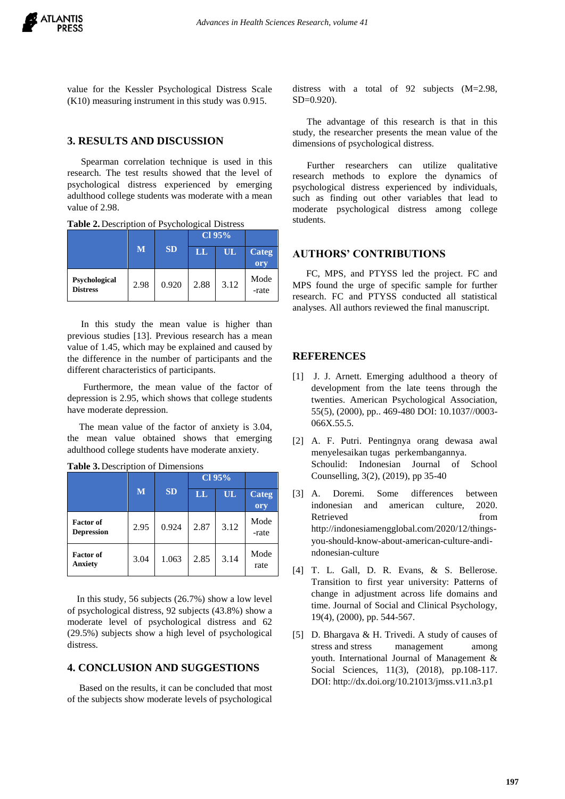value for the Kessler Psychological Distress Scale (K10) measuring instrument in this study was 0.915.

## **3. RESULTS AND DISCUSSION**

Spearman correlation technique is used in this research. The test results showed that the level of psychological distress experienced by emerging adulthood college students was moderate with a mean value of 2.98.

|                                  | M    | <b>SD</b> | $Cl$ 95% |      |                     |
|----------------------------------|------|-----------|----------|------|---------------------|
|                                  |      |           | $\bf{L}$ | UL   | <b>Categ</b><br>ory |
| Psychological<br><b>Distress</b> | 2.98 | 0.920     | 2.88     | 3.12 | Mode<br>-rate       |

**Table 2.** Description of Psychological Distress

In this study the mean value is higher than previous studies [13]. Previous research has a mean value of 1.45, which may be explained and caused by the difference in the number of participants and the different characteristics of participants.

Furthermore, the mean value of the factor of depression is 2.95, which shows that college students have moderate depression.

 The mean value of the factor of anxiety is 3.04, the mean value obtained shows that emerging adulthood college students have moderate anxiety.

|                                       |      |           | Cl 95% |      |               |
|---------------------------------------|------|-----------|--------|------|---------------|
|                                       | M    | <b>SD</b> | LL     | UL   | Categ<br>ory  |
| <b>Factor of</b><br><b>Depression</b> | 2.95 | 0.924     | 2.87   | 3.12 | Mode<br>-rate |
| <b>Factor of</b><br>Anxiety           | 3.04 | 1.063     | 2.85   | 3.14 | Mode<br>rate  |

**Table 3.** Description of Dimensions

 In this study, 56 subjects (26.7%) show a low level of psychological distress, 92 subjects (43.8%) show a moderate level of psychological distress and 62 (29.5%) subjects show a high level of psychological distress.

## **4. CONCLUSION AND SUGGESTIONS**

 Based on the results, it can be concluded that most of the subjects show moderate levels of psychological distress with a total of 92 subjects (M=2.98, SD=0.920).

 The advantage of this research is that in this study, the researcher presents the mean value of the dimensions of psychological distress.

 Further researchers can utilize qualitative research methods to explore the dynamics of psychological distress experienced by individuals, such as finding out other variables that lead to moderate psychological distress among college students.

## **AUTHORS' CONTRIBUTIONS**

FC, MPS, and PTYSS led the project. FC and MPS found the urge of specific sample for further research. FC and PTYSS conducted all statistical analyses. All authors reviewed the final manuscript.

#### **REFERENCES**

- [1] J. J. Arnett. Emerging adulthood a theory of development from the late teens through the twenties. American Psychological Association, 55(5), (2000), pp.. 469-480 DOI: 10.1037//0003- 066X.55.5.
- [2] A. F. Putri. Pentingnya orang dewasa awal menyelesaikan tugas perkembangannya. Schoulid: Indonesian Journal of School Counselling, 3(2), (2019), pp 35-40
- [3] A. Doremi. Some differences between indonesian and american culture, 2020. Retrieved from http://indonesiamengglobal.com/2020/12/thingsyou-should-know-about-american-culture-andindonesian-culture
- [4] T. L. Gall, D. R. Evans, & S. Bellerose. Transition to first year university: Patterns of change in adjustment across life domains and time. Journal of Social and Clinical Psychology, 19(4), (2000), pp. 544-567.
- [5] D. Bhargava & H. Trivedi. A study of causes of stress and stress management among youth. International Journal of Management & Social Sciences, 11(3), (2018), pp.108-117. DOI: http://dx.doi.org/10.21013/jmss.v11.n3.p1